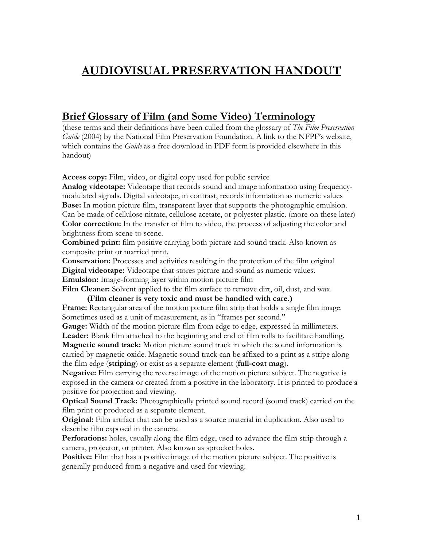# **AUDIOVISUAL PRESERVATION HANDOUT**

## **Brief Glossary of Film (and Some Video) Terminology**

(these terms and their definitions have been culled from the glossary of *The Film Preservation Guide* (2004) by the National Film Preservation Foundation. A link to the NFPF's website, which contains the *Guide* as a free download in PDF form is provided elsewhere in this handout)

**Access copy:** Film, video, or digital copy used for public service

**Analog videotape:** Videotape that records sound and image information using frequencymodulated signals. Digital videotape, in contrast, records information as numeric values **Base:** In motion picture film, transparent layer that supports the photographic emulsion. Can be made of cellulose nitrate, cellulose acetate, or polyester plastic. (more on these later) **Color correction:** In the transfer of film to video, the process of adjusting the color and brightness from scene to scene.

**Combined print:** film positive carrying both picture and sound track. Also known as composite print or married print.

**Conservation:** Processes and activities resulting in the protection of the film original **Digital videotape:** Videotape that stores picture and sound as numeric values.

**Emulsion:** Image-forming layer within motion picture film

Film Cleaner: Solvent applied to the film surface to remove dirt, oil, dust, and wax.

 **(Film cleaner is very toxic and must be handled with care.)**  Frame: Rectangular area of the motion picture film strip that holds a single film image. Sometimes used as a unit of measurement, as in "frames per second."

**Gauge:** Width of the motion picture film from edge to edge, expressed in millimeters. **Leader:** Blank film attached to the beginning and end of film rolls to facilitate handling.

**Magnetic sound track:** Motion picture sound track in which the sound information is carried by magnetic oxide. Magnetic sound track can be affixed to a print as a stripe along the film edge (**striping**) or exist as a separate element (**full-coat mag**).

**Negative:** Film carrying the reverse image of the motion picture subject. The negative is exposed in the camera or created from a positive in the laboratory. It is printed to produce a positive for projection and viewing.

**Optical Sound Track:** Photographically printed sound record (sound track) carried on the film print or produced as a separate element.

**Original:** Film artifact that can be used as a source material in duplication. Also used to describe film exposed in the camera.

**Perforations:** holes, usually along the film edge, used to advance the film strip through a camera, projector, or printer. Also known as sprocket holes.

**Positive:** Film that has a positive image of the motion picture subject. The positive is generally produced from a negative and used for viewing.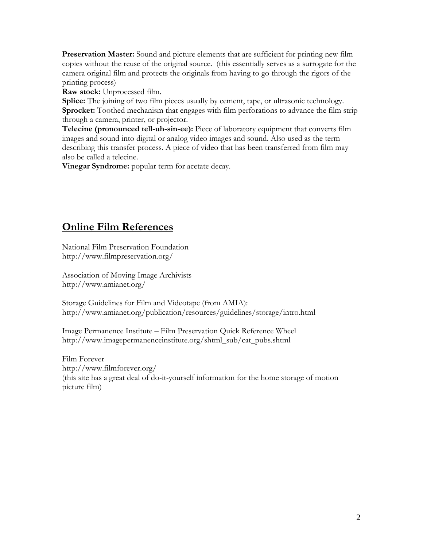**Preservation Master:** Sound and picture elements that are sufficient for printing new film copies without the reuse of the original source. (this essentially serves as a surrogate for the camera original film and protects the originals from having to go through the rigors of the printing process)

**Raw stock:** Unprocessed film.

**Splice:** The joining of two film pieces usually by cement, tape, or ultrasonic technology. **Sprocket:** Toothed mechanism that engages with film perforations to advance the film strip through a camera, printer, or projector.

**Telecine (pronounced tell-uh-sin-ee):** Piece of laboratory equipment that converts film images and sound into digital or analog video images and sound. Also used as the term describing this transfer process. A piece of video that has been transferred from film may also be called a telecine.

**Vinegar Syndrome:** popular term for acetate decay.

# **Online Film References**

National Film Preservation Foundation <http://www.filmpreservation.org/>

Association of Moving Image Archivists <http://www.amianet.org/>

Storage Guidelines for Film and Videotape (from AMIA): <http://www.amianet.org/publication/resources/guidelines/storage/intro.html>

Image Permanence Institute – Film Preservation Quick Reference Wheel [http://www.imagepermanenceinstitute.org/shtml\\_sub/cat\\_pubs.shtml](http://www.imagepermanenceinstitute.org/shtml_sub/cat_pubs.shtml)

Film Forever <http://www.filmforever.org/> (this site has a great deal of do-it-yourself information for the home storage of motion picture film)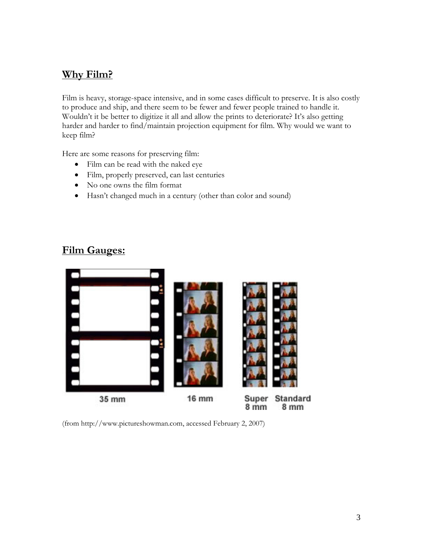# **Why Film?**

Film is heavy, storage-space intensive, and in some cases difficult to preserve. It is also costly to produce and ship, and there seem to be fewer and fewer people trained to handle it. Wouldn't it be better to digitize it all and allow the prints to deteriorate? It's also getting harder and harder to find/maintain projection equipment for film. Why would we want to keep film?

Here are some reasons for preserving film:

- Film can be read with the naked eye
- Film, properly preserved, can last centuries
- No one owns the film format
- Hasn't changed much in a century (other than color and sound)

## **Film Gauges:**



(from<http://www.pictureshowman.com>, accessed February 2, 2007)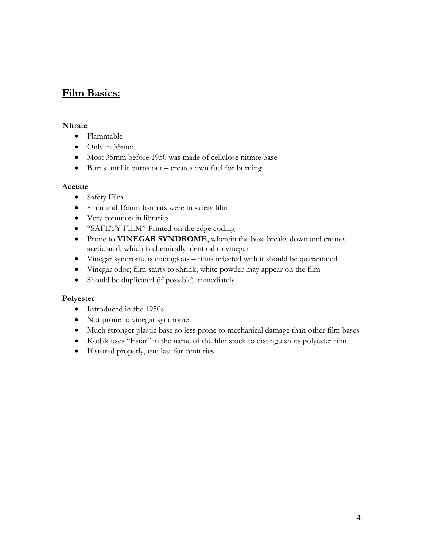## **Film Basics:**

### **Nitrate**

- Flammable
- Only in 35mm
- Most 35mm before 1950 was made of cellulose nitrate base
- Burns until it burns out creates own fuel for burning

## **Acetate**

- Safety Film
- 8mm and 16mm formats were in safety film
- Very common in libraries
- "SAFETY FILM" Printed on the edge coding
- Prone to **VINEGAR SYNDROME**, wherein the base breaks down and creates acetic acid, which is chemically identical to vinegar
- Vinegar syndrome is contagious films infected with it should be quarantined
- Vinegar odor; film starts to shrink, white powder may appear on the film
- Should be duplicated (if possible) immediately

### **Polyester**

- Introduced in the 1950s
- Not prone to vinegar syndrome
- Much stronger plastic base so less prone to mechanical damage than other film bases
- Kodak uses "Estar" in the name of the film stock to distinguish its polyester film
- If stored properly, can last for centuries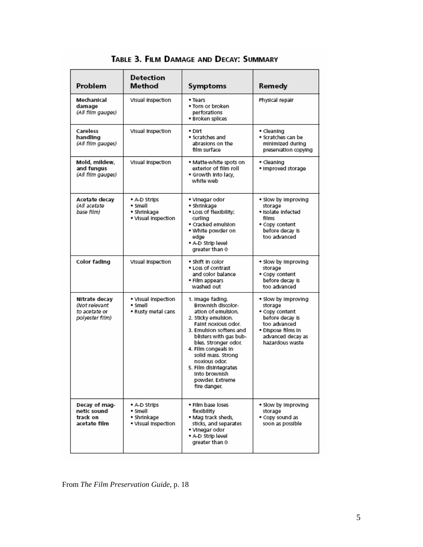| Problem                                                            | Detection<br>Method                                           | Symptoms                                                                                                                                                                                                                                                                                                                           | Remedy                                                                                                                                            |  |
|--------------------------------------------------------------------|---------------------------------------------------------------|------------------------------------------------------------------------------------------------------------------------------------------------------------------------------------------------------------------------------------------------------------------------------------------------------------------------------------|---------------------------------------------------------------------------------------------------------------------------------------------------|--|
| Mechanical<br>damage<br>(All film gauges)                          | Visual Inspection                                             | Physical repair<br>• Tears<br>• Torn or broken<br>perforations<br>· Broken splices                                                                                                                                                                                                                                                 |                                                                                                                                                   |  |
| Careless<br>handling<br>(All film gauges)                          | Visual Inspection                                             | • Dirt<br>· Scratches and<br>abrasions on the<br>film surface                                                                                                                                                                                                                                                                      | • Cleaning<br>• Scratches can be<br>minimized during<br>preservation copying                                                                      |  |
| Mold, mildew,<br>and fungus<br>(All film gauges)                   | Visual Inspection                                             | • Matte-white spots on<br>exterior of film roll<br>. Growth Into lacy,<br>white web                                                                                                                                                                                                                                                | • Cleaning<br>· Improved storage                                                                                                                  |  |
| Acetate decay<br>(All acetate<br>base film)                        | • A-D Strips<br>• Smell<br>• Shrinkage<br>. Visual Inspection | • Vinegar odor<br>• Shrinkage<br>. Loss of flexibility;<br>curling<br>· Cracked emulsion<br>. White powder on<br>edae<br>. A-D Strip level<br>greater than 0                                                                                                                                                                       | . Slow by Improving<br>storage<br>• Isolate Infected<br>films<br>· Copy content<br>before decay is<br>too advanced                                |  |
| Color fading                                                       | Visual Inspection                                             | · Shift in color<br>• Loss of contrast<br>and color balance<br>• Film appears<br>washed out                                                                                                                                                                                                                                        | . Slow by Improving<br>storage<br>. Copy content<br>before decay is<br>too advanced                                                               |  |
| Nitrate decay<br>(Not relevant<br>to acetate or<br>polyester film) | . Visual Inspection<br>• Smell<br>• Rusty metal cans          | 1. Image fading.<br>Brownish discolor-<br>ation of emulsion.<br>2. Sticky emulsion.<br>Faint noxious odor.<br>3. Emulsion softens and<br>blisters with gas bub-<br>bles. Stronger odor.<br>4. Film congeals in<br>solid mass. Strong<br>noxious odor.<br>5. Film disintegrates<br>Into brownish<br>powder. Extreme<br>fire danger. | . Slow by Improving<br>storage<br>· Copy content<br>before decay is<br>too advanced<br>• Dispose films in<br>advanced decay as<br>hazardous waste |  |
| Decay of mag-<br>netic sound<br>track on<br>acetate film           | • A-D Strips<br>• Smell<br>• Shrinkage<br>. Visual Inspection | . Film base loses<br>flexibility<br>. Mag track sheds,<br>sticks, and separates<br>• Vinegar odor<br>. A-D Strip level<br>greater than 0                                                                                                                                                                                           | . Slow by Improving<br>storage<br>• Copy sound as<br>soon as possible                                                                             |  |

TABLE 3. FILM DAMAGE AND DECAY: SUMMARY

From *The Film Preservation Guide*, p. 18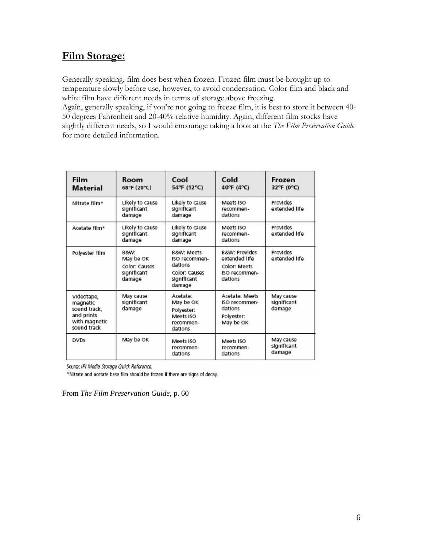# **Film Storage:**

Generally speaking, film does best when frozen. Frozen film must be brought up to temperature slowly before use, however, to avoid condensation. Color film and black and white film have different needs in terms of storage above freezing.

Again, generally speaking, if you're not going to freeze film, it is best to store it between 40- 50 degrees Fahrenheit and 20-40% relative humidity. Again, different film stocks have slightly different needs, so I would encourage taking a look at the *The Film Preservation Guide*  for more detailed information.

| Film<br>Material                                                                     | Room<br>68°F (20°C)                                         | Cool<br>54°F (12°C)                                                                         | Cold<br>40°F (4°C)                                                                    | Frozen<br>32°F (0°C)               |
|--------------------------------------------------------------------------------------|-------------------------------------------------------------|---------------------------------------------------------------------------------------------|---------------------------------------------------------------------------------------|------------------------------------|
| Nitrate film*                                                                        | Likely to cause<br>significant<br>damage                    | Likely to cause<br>significant<br>damage                                                    | Meets ISO<br>recommen-<br>dations                                                     | Provides<br>extended life          |
| Acetate film*                                                                        | Likely to cause<br>significant<br>damage                    | Likely to cause<br>significant<br>damage                                                    | Meets ISO<br>recommen-<br>dations                                                     | Provides<br>extended life          |
| Polyester film                                                                       | B&W:<br>May be OK<br>Color: Causes<br>significant<br>damage | <b>B&amp;W: Meets</b><br>ISO recommen-<br>dations<br>Color: Causes<br>significant<br>damage | <b>B&amp;W: Provides</b><br>extended life<br>Color: Meets<br>ISO recommen-<br>dations | Provides<br>extended life          |
| Videotape,<br>magnetic<br>sound track,<br>and prints<br>with magnetic<br>sound track | May cause<br>significant<br>damage                          | Acetate:<br>May be OK<br>Polyester:<br>Meets ISO<br>recommen-<br>dations                    | Acetate: Meets<br>ISO recommen-<br>dations<br>Polyester:<br>May be OK                 | May cause<br>significant<br>damage |
| <b>DVDs</b>                                                                          | May be OK                                                   | Meets ISO<br>recommen-<br>dations                                                           | Meets ISO<br>recommen-<br>dations                                                     | May cause<br>significant<br>damage |

Source: IPI Media Storage Quick Reference.

\*Nitrate and acetate base film should be frozen if there are signs of decay.

From *The Film Preservation Guide*, p. 60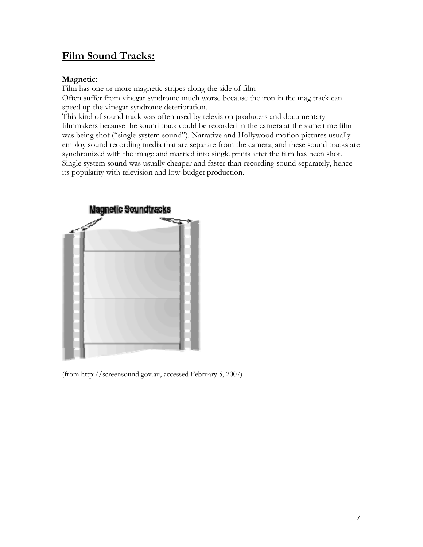# **Film Sound Tracks:**

## **Magnetic:**

Film has one or more magnetic stripes along the side of film Often suffer from vinegar syndrome much worse because the iron in the mag track can speed up the vinegar syndrome deterioration.

This kind of sound track was often used by television producers and documentary filmmakers because the sound track could be recorded in the camera at the same time film was being shot ("single system sound"). Narrative and Hollywood motion pictures usually employ sound recording media that are separate from the camera, and these sound tracks are synchronized with the image and married into single prints after the film has been shot. Single system sound was usually cheaper and faster than recording sound separately, hence its popularity with television and low-budget production.



(from [http://screensound.gov.au,](http://screensound.gov.au) accessed February 5, 2007)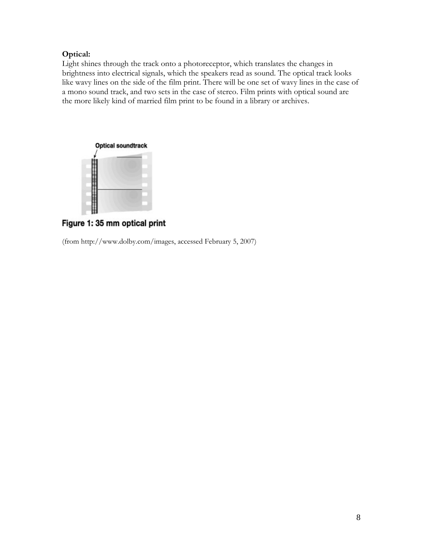## **Optical:**

Light shines through the track onto a photoreceptor, which translates the changes in brightness into electrical signals, which the speakers read as sound. The optical track looks like wavy lines on the side of the film print. There will be one set of wavy lines in the case of a mono sound track, and two sets in the case of stereo. Film prints with optical sound are the more likely kind of married film print to be found in a library or archives.



Figure 1: 35 mm optical print

(from<http://www.dolby.com/images>, accessed February 5, 2007)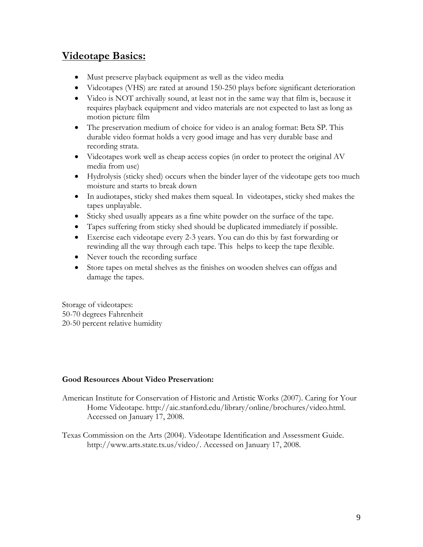# **Videotape Basics:**

- Must preserve playback equipment as well as the video media
- Videotapes (VHS) are rated at around 150-250 plays before significant deterioration
- Video is NOT archivally sound, at least not in the same way that film is, because it requires playback equipment and video materials are not expected to last as long as motion picture film
- The preservation medium of choice for video is an analog format: Beta SP. This durable video format holds a very good image and has very durable base and recording strata.
- Videotapes work well as cheap access copies (in order to protect the original AV media from use)
- Hydrolysis (sticky shed) occurs when the binder layer of the videotape gets too much moisture and starts to break down
- In audiotapes, sticky shed makes them squeal. In videotapes, sticky shed makes the tapes unplayable.
- Sticky shed usually appears as a fine white powder on the surface of the tape.
- Tapes suffering from sticky shed should be duplicated immediately if possible.
- Exercise each videotape every 2-3 years. You can do this by fast forwarding or rewinding all the way through each tape. This helps to keep the tape flexible.
- Never touch the recording surface
- Store tapes on metal shelves as the finishes on wooden shelves can offgas and damage the tapes.

Storage of videotapes: 50-70 degrees Fahrenheit 20-50 percent relative humidity

### **Good Resources About Video Preservation:**

- American Institute for Conservation of Historic and Artistic Works (2007). Caring for Your Home Videotape. [http://aic.stanford.edu/library/online/brochures/video.html.](http://aic.stanford.edu/library/online/brochures/video.html.%20Accessed%20on%20January%2017)  [Accessed on January 17](http://aic.stanford.edu/library/online/brochures/video.html.%20Accessed%20on%20January%2017), 2008.
- Texas Commission on the Arts (2004). Videotape Identification and Assessment Guide. <http://www.arts.state.tx.us/video/>. Accessed on January 17, 2008.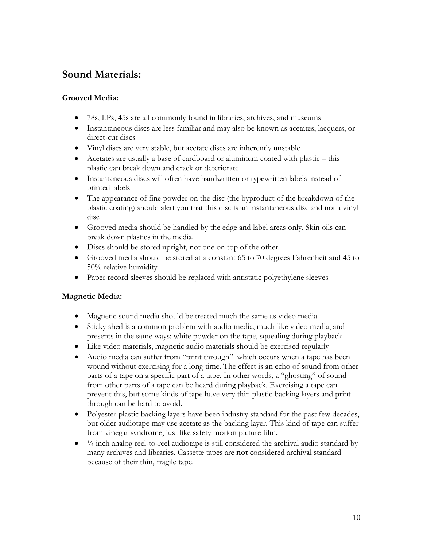# **Sound Materials:**

## **Grooved Media:**

- 78s, LPs, 45s are all commonly found in libraries, archives, and museums
- Instantaneous discs are less familiar and may also be known as acetates, lacquers, or direct-cut discs
- Vinyl discs are very stable, but acetate discs are inherently unstable
- Acetates are usually a base of cardboard or aluminum coated with plastic this plastic can break down and crack or deteriorate
- Instantaneous discs will often have handwritten or typewritten labels instead of printed labels
- The appearance of fine powder on the disc (the byproduct of the breakdown of the plastic coating) should alert you that this disc is an instantaneous disc and not a vinyl disc
- Grooved media should be handled by the edge and label areas only. Skin oils can break down plastics in the media.
- Discs should be stored upright, not one on top of the other
- Grooved media should be stored at a constant 65 to 70 degrees Fahrenheit and 45 to 50% relative humidity
- Paper record sleeves should be replaced with antistatic polyethylene sleeves

## **Magnetic Media:**

- Magnetic sound media should be treated much the same as video media
- Sticky shed is a common problem with audio media, much like video media, and presents in the same ways: white powder on the tape, squealing during playback
- Like video materials, magnetic audio materials should be exercised regularly
- Audio media can suffer from "print through" which occurs when a tape has been wound without exercising for a long time. The effect is an echo of sound from other parts of a tape on a specific part of a tape. In other words, a "ghosting" of sound from other parts of a tape can be heard during playback. Exercising a tape can prevent this, but some kinds of tape have very thin plastic backing layers and print through can be hard to avoid.
- Polyester plastic backing layers have been industry standard for the past few decades, but older audiotape may use acetate as the backing layer. This kind of tape can suffer from vinegar syndrome, just like safety motion picture film.
- $\bullet$   $\frac{1}{4}$  inch analog reel-to-reel audiotape is still considered the archival audio standard by many archives and libraries. Cassette tapes are **not** considered archival standard because of their thin, fragile tape.